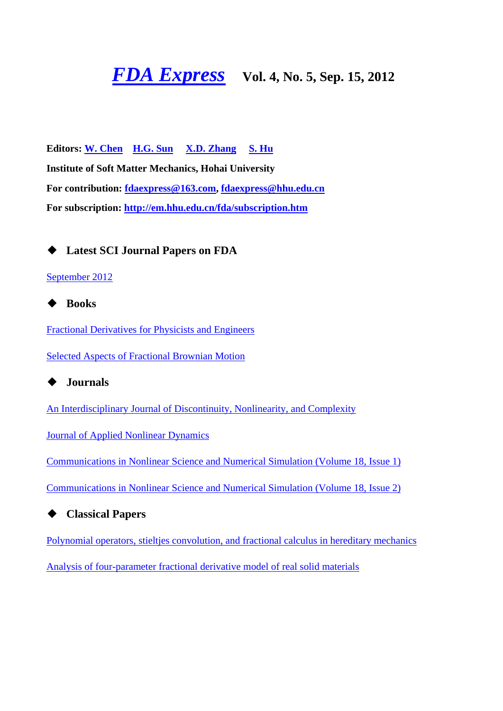# *FDA Express* Vol. 4, No. 5, Sep. 15, 2012

**Editors: W. Chen H.G. Sun X.D. Zhang S. Hu Institute of Soft Matter Mechanics, Hohai University For contribution: fdaexpress@163.com, fdaexpress@hhu.edu.cn For subscription: http://em.hhu.edu.cn/fda/subscription.htm**

◆ **Latest SCI Journal Papers on FDA**

### September 2012



Fractional Derivatives for Physicists and Engineers

Selected Aspects of Fractional Brownian Motion

◆ **Journals**

An Interdisciplinary Journal of Discontinuity, Nonlinearity, and Complexity

Journal of Applied Nonlinear Dynamics

Communications in Nonlinear Science and Numerical Simulation (Volume 18, Issue 1)

Communications in Nonlinear Science and Numerical Simulation (Volume 18, Issue 2)

◆ **Classical Papers**

Polynomial operators, stieltjes convolution, and fractional calculus in hereditary mechanics

Analysis of four-parameter fractional derivative model of real solid materials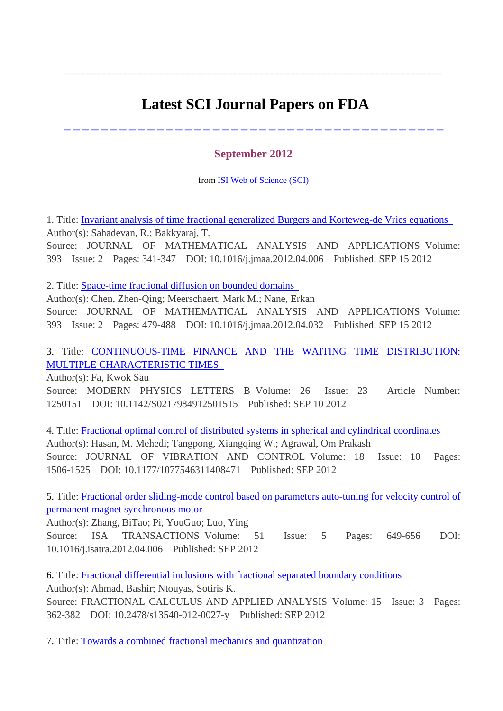## **Latest SCI Journal Papers on FDA**

========================================================================

-----------------------------------------

### **September 2012**

from ISI Web of Science (SCI)

1. Title: Invariant analysis of time fractional generalized Burgers and Korteweg-de Vries equations Author(s): Sahadevan, R.; Bakkyaraj, T. Source: JOURNAL OF MATHEMATICAL ANALYSIS AND APPLICATIONS Volume: 393 Issue: 2 Pages: 341-347 DOI: 10.1016/j.jmaa.2012.04.006 Published: SEP 15 2012

2. Title: Space-time fractional diffusion on bounded domains

Author(s): Chen, Zhen-Qing; Meerschaert, Mark M.; Nane, Erkan Source: JOURNAL OF MATHEMATICAL ANALYSIS AND APPLICATIONS Volume: 393 Issue: 2 Pages: 479-488 DOI: 10.1016/j.jmaa.2012.04.032 Published: SEP 15 2012

3. Title: CONTINUOUS-TIME FINANCE AND THE WAITING TIME DISTRIBUTION: MULTIPLE CHARACTERISTIC TIMES

Author(s): Fa, Kwok Sau

Source: MODERN PHYSICS LETTERS B Volume: 26 Issue: 23 Article Number: 1250151 DOI: 10.1142/S0217984912501515 Published: SEP 10 2012

4. Title: Fractional optimal control of distributed systems in spherical and cylindrical coordinates Author(s): Hasan, M. Mehedi; Tangpong, Xiangqing W.; Agrawal, Om Prakash Source: JOURNAL OF VIBRATION AND CONTROL Volume: 18 Issue: 10 Pages: 1506-1525 DOI: 10.1177/1077546311408471 Published: SEP 2012

5. Title: Fractional order sliding-mode control based on parameters auto-tuning for velocity control of permanent magnet synchronous motor

Author(s): Zhang, BiTao; Pi, YouGuo; Luo, Ying Source: ISA TRANSACTIONS Volume: 51 Issue: 5 Pages: 649-656 DOI: 10.1016/j.isatra.2012.04.006 Published: SEP 2012

6. Title: Fractional differential inclusions with fractional separated boundary conditions Author(s): Ahmad, Bashir; Ntouyas, Sotiris K. Source: FRACTIONAL CALCULUS AND APPLIED ANALYSIS Volume: 15 Issue: 3 Pages: 362-382 DOI: 10.2478/s13540-012-0027-y Published: SEP 2012

7. Title: Towards a combined fractional mechanics and quantization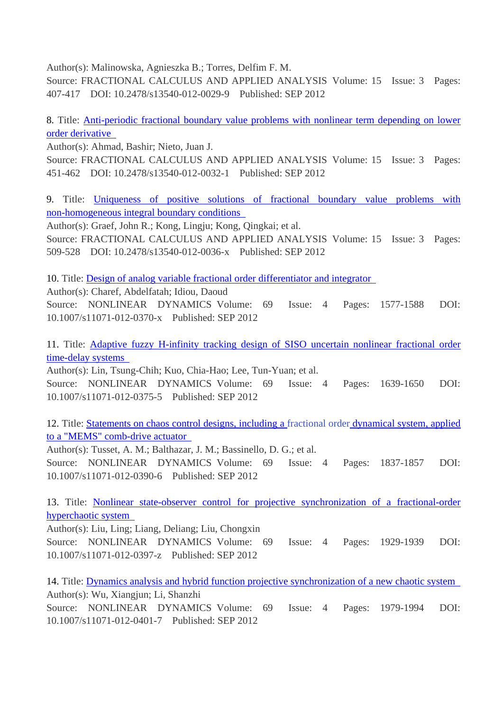Author(s): Malinowska, Agnieszka B.; Torres, Delfim F. M.

Source: FRACTIONAL CALCULUS AND APPLIED ANALYSIS Volume: 15 Issue: 3 Pages: 407-417 DOI: 10.2478/s13540-012-0029-9 Published: SEP 2012

8. Title: Anti-periodic fractional boundary value problems with nonlinear term depending on lower order derivative

Author(s): Ahmad, Bashir; Nieto, Juan J.

Source: FRACTIONAL CALCULUS AND APPLIED ANALYSIS Volume: 15 Issue: 3 Pages: 451-462 DOI: 10.2478/s13540-012-0032-1 Published: SEP 2012

9. Title: Uniqueness of positive solutions of fractional boundary value problems with non-homogeneous integral boundary conditions

Author(s): Graef, John R.; Kong, Lingju; Kong, Qingkai; et al. Source: FRACTIONAL CALCULUS AND APPLIED ANALYSIS Volume: 15 Issue: 3 Pages: 509-528 DOI: 10.2478/s13540-012-0036-x Published: SEP 2012

10. Title: Design of analog variable fractional order differentiator and integrator

Author(s): Charef, Abdelfatah; Idiou, Daoud

Source: NONLINEAR DYNAMICS Volume: 69 Issue: 4 Pages: 1577-1588 DOI: 10.1007/s11071-012-0370-x Published: SEP 2012

11. Title: Adaptive fuzzy H-infinity tracking design of SISO uncertain nonlinear fractional order time-delay systems

Author(s): Lin, Tsung-Chih; Kuo, Chia-Hao; Lee, Tun-Yuan; et al.

Source: NONLINEAR DYNAMICS Volume: 69 Issue: 4 Pages: 1639-1650 DOI: 10.1007/s11071-012-0375-5 Published: SEP 2012

12. Title: Statements on chaos control designs, including a fractional order dynamical system, applied to a "MEMS" comb-drive actuator

Author(s): Tusset, A. M.; Balthazar, J. M.; Bassinello, D. G.; et al.

Source: NONLINEAR DYNAMICS Volume: 69 Issue: 4 Pages: 1837-1857 DOI: 10.1007/s11071-012-0390-6 Published: SEP 2012

13. Title: Nonlinear state-observer control for projective synchronization of a fractional-order hyperchaotic system

Author(s): Liu, Ling; Liang, Deliang; Liu, Chongxin Source: NONLINEAR DYNAMICS Volume: 69 Issue: 4 Pages: 1929-1939 DOI: 10.1007/s11071-012-0397-z Published: SEP 2012

14. Title: Dynamics analysis and hybrid function projective synchronization of a new chaotic system Author(s): Wu, Xiangjun; Li, Shanzhi Source: NONLINEAR DYNAMICS Volume: 69 Issue: 4 Pages: 1979-1994 DOI:

10.1007/s11071-012-0401-7 Published: SEP 2012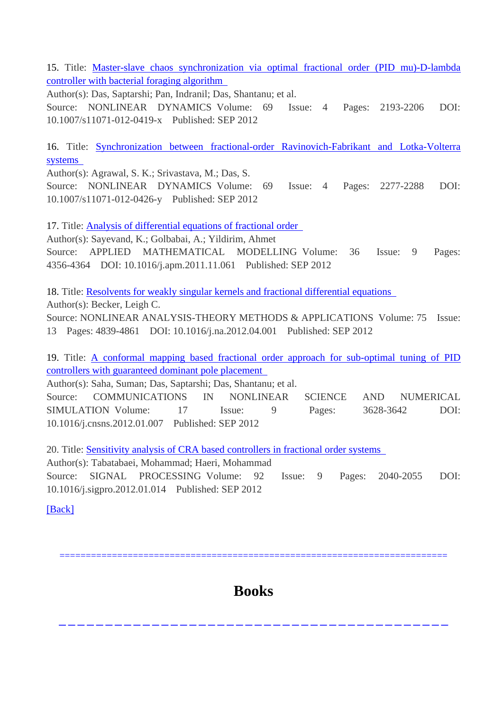15. Title: Master-slave chaos synchronization via optimal fractional order (PID mu)-D-lambda controller with bacterial foraging algorithm

Author(s): Das, Saptarshi; Pan, Indranil; Das, Shantanu; et al. Source: NONLINEAR DYNAMICS Volume: 69 Issue: 4 Pages: 2193-2206 DOI: 10.1007/s11071-012-0419-x Published: SEP 2012

16. Title: Synchronization between fractional-order Ravinovich-Fabrikant and Lotka-Volterra systems

Author(s): Agrawal, S. K.; Srivastava, M.; Das, S. Source: NONLINEAR DYNAMICS Volume: 69 Issue: 4 Pages: 2277-2288 DOI: 10.1007/s11071-012-0426-y Published: SEP 2012

17. Title: Analysis of differential equations of fractional order

Author(s): Sayevand, K.; Golbabai, A.; Yildirim, Ahmet

Source: APPLIED MATHEMATICAL MODELLING Volume: 36 Issue: 9 Pages: 4356-4364 DOI: 10.1016/j.apm.2011.11.061 Published: SEP 2012

18. Title: Resolvents for weakly singular kernels and fractional differential equations

Author(s): Becker, Leigh C.

Source: NONLINEAR ANALYSIS-THEORY METHODS & APPLICATIONS Volume: 75 Issue: 13 Pages: 4839-4861 DOI: 10.1016/j.na.2012.04.001 Published: SEP 2012

19. Title: A conformal mapping based fractional order approach for sub-optimal tuning of PID controllers with guaranteed dominant pole placement

Author(s): Saha, Suman; Das, Saptarshi; Das, Shantanu; et al.

Source: COMMUNICATIONS IN NONLINEAR SCIENCE AND NUMERICAL SIMULATION Volume: 17 Issue: 9 Pages: 3628-3642 DOI: 10.1016/j.cnsns.2012.01.007 Published: SEP 2012

20. Title: Sensitivity analysis of CRA based controllers in fractional order systems

Author(s): Tabatabaei, Mohammad; Haeri, Mohammad Source: SIGNAL PROCESSING Volume: 92 Issue: 9 Pages: 2040-2055 DOI: 10.1016/j.sigpro.2012.01.014 Published: SEP 2012

[Back]

## **Books**

------------------------------------------

==========================================================================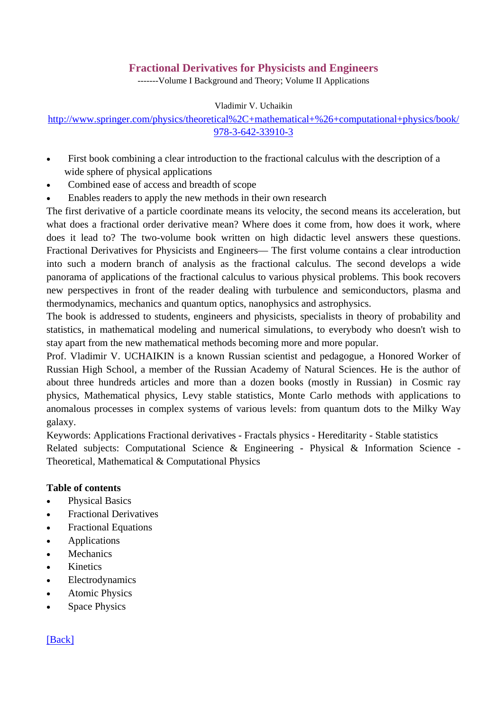## **Fractional Derivatives for Physicists and Engineers**

-------Volume I Background and Theory; Volume II Applications

Vladimir V. Uchaikin

## http://www.springer.com/physics/theoretical%2C+mathematical+%26+computational+physics/book/ 978-3-642-33910-3

- First book combining a clear introduction to the fractional calculus with the description of a wide sphere of physical applications
- Combined ease of access and breadth of scope
- Enables readers to apply the new methods in their own research

The first derivative of a particle coordinate means its velocity, the second means its acceleration, but what does a fractional order derivative mean? Where does it come from, how does it work, where does it lead to? The two-volume book written on high didactic level answers these questions. Fractional Derivatives for Physicists and Engineers— The first volume contains a clear introduction into such a modern branch of analysis as the fractional calculus. The second develops a wide panorama of applications of the fractional calculus to various physical problems. This book recovers new perspectives in front of the reader dealing with turbulence and semiconductors, plasma and thermodynamics, mechanics and quantum optics, nanophysics and astrophysics.

The book is addressed to students, engineers and physicists, specialists in theory of probability and statistics, in mathematical modeling and numerical simulations, to everybody who doesn't wish to stay apart from the new mathematical methods becoming more and more popular.

Prof. Vladimir V. UCHAIKIN is a known Russian scientist and pedagogue, a Honored Worker of Russian High School, a member of the Russian Academy of Natural Sciences. He is the author of about three hundreds articles and more than a dozen books (mostly in Russian) in Cosmic ray physics, Mathematical physics, Levy stable statistics, Monte Carlo methods with applications to anomalous processes in complex systems of various levels: from quantum dots to the Milky Way galaxy.

Keywords: Applications Fractional derivatives - Fractals physics - Hereditarity - Stable statistics Related subjects: Computational Science & Engineering - Physical & Information Science - Theoretical, Mathematical & Computational Physics

### **Table of contents**

- Physical Basics
- Fractional Derivatives
- Fractional Equations
- **Applications**
- Mechanics
- Kinetics
- Electrodynamics
- Atomic Physics
- Space Physics

### [Back]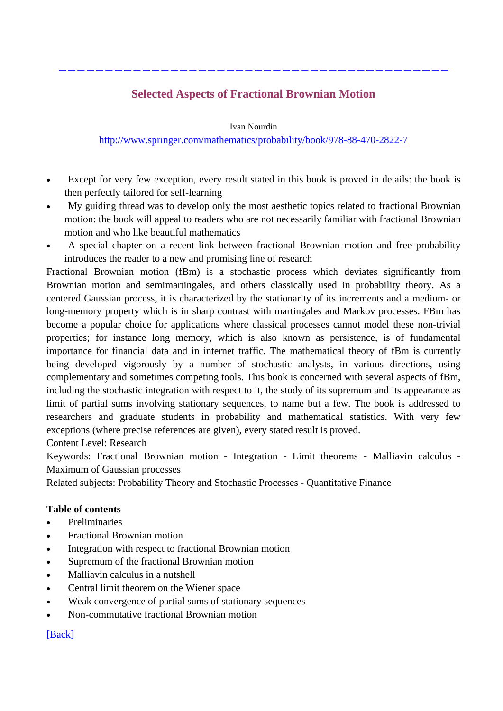## **Selected Aspects of Fractional Brownian Motion**

------------------------------------------

Ivan Nourdin

http://www.springer.com/mathematics/probability/book/978-88-470-2822-7

- Except for very few exception, every result stated in this book is proved in details: the book is then perfectly tailored for self-learning
- My guiding thread was to develop only the most aesthetic topics related to fractional Brownian motion: the book will appeal to readers who are not necessarily familiar with fractional Brownian motion and who like beautiful mathematics
- A special chapter on a recent link between fractional Brownian motion and free probability introduces the reader to a new and promising line of research

Fractional Brownian motion (fBm) is a stochastic process which deviates significantly from Brownian motion and semimartingales, and others classically used in probability theory. As a centered Gaussian process, it is characterized by the stationarity of its increments and a medium- or long-memory property which is in sharp contrast with martingales and Markov processes. FBm has become a popular choice for applications where classical processes cannot model these non-trivial properties; for instance long memory, which is also known as persistence, is of fundamental importance for financial data and in internet traffic. The mathematical theory of fBm is currently being developed vigorously by a number of stochastic analysts, in various directions, using complementary and sometimes competing tools. This book is concerned with several aspects of fBm, including the stochastic integration with respect to it, the study of its supremum and its appearance as limit of partial sums involving stationary sequences, to name but a few. The book is addressed to researchers and graduate students in probability and mathematical statistics. With very few exceptions (where precise references are given), every stated result is proved.

Content Level: Research

Keywords: Fractional Brownian motion - Integration - Limit theorems - Malliavin calculus - Maximum of Gaussian processes

Related subjects: Probability Theory and Stochastic Processes - Quantitative Finance

### **Table of contents**

- Preliminaries
- Fractional Brownian motion
- Integration with respect to fractional Brownian motion
- Supremum of the fractional Brownian motion
- Malliavin calculus in a nutshell
- Central limit theorem on the Wiener space
- Weak convergence of partial sums of stationary sequences
- Non-commutative fractional Brownian motion

## [Back]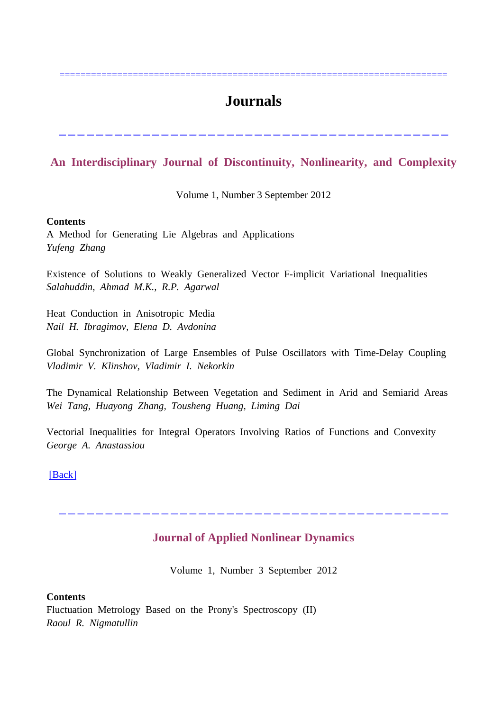## **Journals**

==========================================================================

## **An Interdisciplinary Journal of Discontinuity, Nonlinearity, and Complexity**

------------------------------------------

Volume 1, Number 3 September 2012

#### **Contents**

A Method for Generating Lie Algebras and Applications *Yufeng Zhang*

Existence of Solutions to Weakly Generalized Vector F-implicit Variational Inequalities *Salahuddin, Ahmad M.K., R.P. Agarwal*

Heat Conduction in Anisotropic Media *Nail H. Ibragimov, Elena D. Avdonina*

Global Synchronization of Large Ensembles of Pulse Oscillators with Time-Delay Coupling *Vladimir V. Klinshov, Vladimir I. Nekorkin*

The Dynamical Relationship Between Vegetation and Sediment in Arid and Semiarid Areas *Wei Tang, Huayong Zhang, Tousheng Huang, Liming Dai*

Vectorial Inequalities for Integral Operators Involving Ratios of Functions and Convexity *George A. Anastassiou*

[Back]

## **Journal of Applied Nonlinear Dynamics**

------------------------------------------

Volume 1, Number 3 September 2012

**Contents** Fluctuation Metrology Based on the Prony's Spectroscopy (II) *Raoul R. Nigmatullin*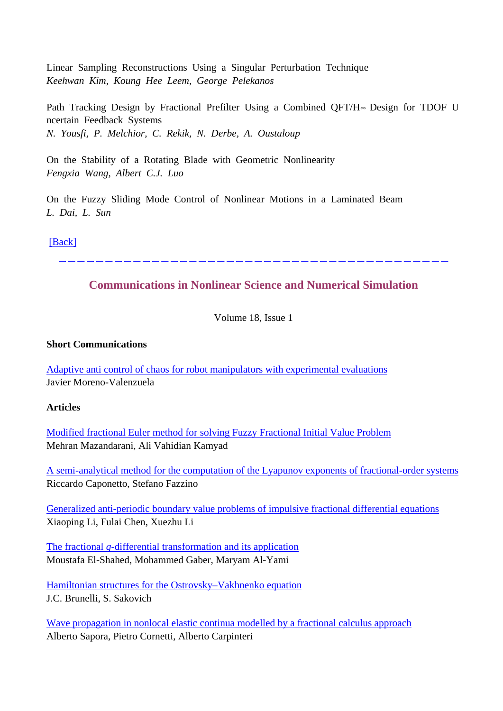Linear Sampling Reconstructions Using a Singular Perturbation Technique *Keehwan Kim, Koung Hee Leem, George Pelekanos*

Path Tracking Design by Fractional Prefilter Using a Combined QFT/H∞ Design for TDOF U ncertain Feedback Systems *N. Yousfi, P. Melchior, C. Rekik, N. Derbe, A. Oustaloup*

On the Stability of a Rotating Blade with Geometric Nonlinearity *Fengxia Wang, Albert C.J. Luo*

On the Fuzzy Sliding Mode Control of Nonlinear Motions in a Laminated Beam *L. Dai, L. Sun*

[Back]

------------------------------------------

## **Communications in Nonlinear Science and Numerical Simulation**

Volume 18, Issue 1

#### **Short Communications**

Adaptive anti control of chaos for robot manipulators with experimental evaluations Javier Moreno-Valenzuela

**Articles**

Modified fractional Euler method for solving Fuzzy Fractional Initial Value Problem Mehran Mazandarani, Ali Vahidian Kamyad

A semi-analytical method for the computation of the Lyapunov exponents of fractional-order systems Riccardo Caponetto, Stefano Fazzino

Generalized anti-periodic boundary value problems of impulsive fractional differential equations Xiaoping Li, Fulai Chen, Xuezhu Li

The fractional *q*-differential transformation and its application Moustafa El-Shahed, Mohammed Gaber, Maryam Al-Yami

Hamiltonian structures for the Ostrovsky–Vakhnenko equation J.C. Brunelli, S. Sakovich

Wave propagation in nonlocal elastic continua modelled by a fractional calculus approach Alberto Sapora, Pietro Cornetti, Alberto Carpinteri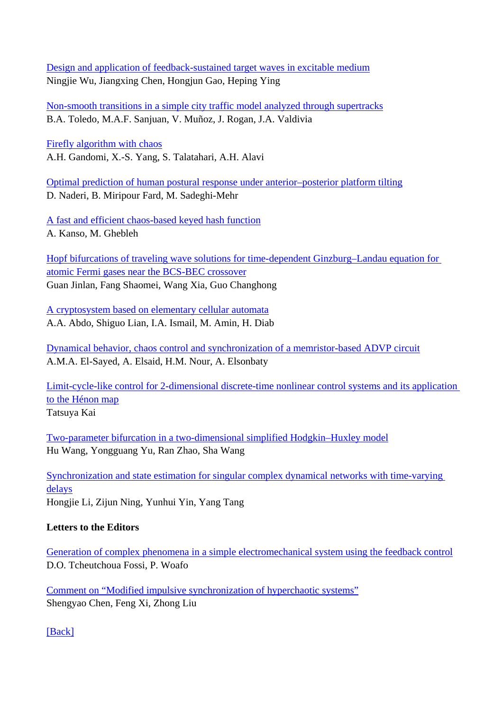Design and application of feedback-sustained target waves in excitable medium Ningjie Wu, Jiangxing Chen, Hongjun Gao, Heping Ying

Non-smooth transitions in a simple city traffic model analyzed through supertracks B.A. Toledo, M.A.F. Sanjuan, V. Muñoz, J. Rogan, J.A. Valdivia

Firefly algorithm with chaos A.H. Gandomi, X.-S. Yang, S. Talatahari, A.H. Alavi

Optimal prediction of human postural response under anterior–posterior platform tilting D. Naderi, B. Miripour Fard, M. Sadeghi-Mehr

A fast and efficient chaos-based keyed hash function A. Kanso, M. Ghebleh

Hopf bifurcations of traveling wave solutions for time-dependent Ginzburg–Landau equation for atomic Fermi gases near the BCS-BEC crossover Guan Jinlan, Fang Shaomei, Wang Xia, Guo Changhong

A cryptosystem based on elementary cellular automata A.A. Abdo, Shiguo Lian, I.A. Ismail, M. Amin, H. Diab

Dynamical behavior, chaos control and synchronization of a memristor-based ADVP circuit A.M.A. El-Sayed, A. Elsaid, H.M. Nour, A. Elsonbaty

Limit-cycle-like control for 2-dimensional discrete-time nonlinear control systems and its application to the Hénon map Tatsuya Kai

Two-parameter bifurcation in a two-dimensional simplified Hodgkin–Huxley model Hu Wang, Yongguang Yu, Ran Zhao, Sha Wang

Synchronization and state estimation for singular complex dynamical networks with time-varying delays Hongjie Li, Zijun Ning, Yunhui Yin, Yang Tang

## **Letters to the Editors**

Generation of complex phenomena in a simple electromechanical system using the feedback control D.O. Tcheutchoua Fossi, P. Woafo

Comment on "Modified impulsive synchronization of hyperchaotic systems" Shengyao Chen, Feng Xi, Zhong Liu

[Back]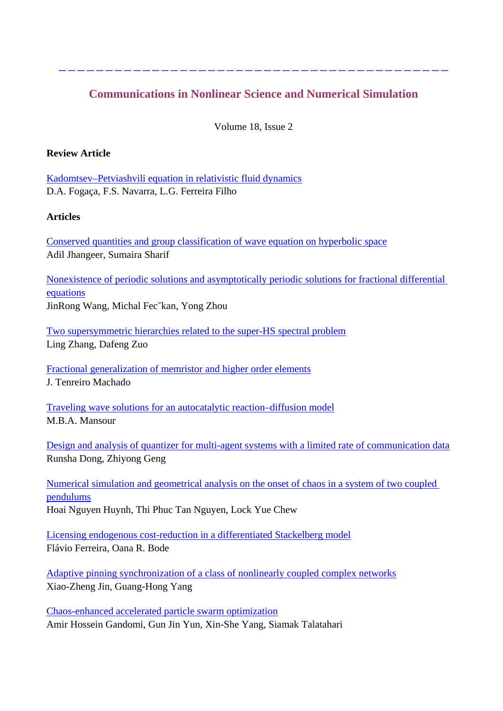## **Communications in Nonlinear Science and Numerical Simulation**

------------------------------------------

Volume 18, Issue 2

### **Review Article**

Kadomtsev–Petviashvili equation in relativistic fluid dynamics D.A. Fogaça, F.S. Navarra, L.G. Ferreira Filho

### **Articles**

Conserved quantities and group classification of wave equation on hyperbolic space Adil Jhangeer, Sumaira Sharif

Nonexistence of periodic solutions and asymptotically periodic solutions for fractional differential equations JinRong Wang, Michal Fec˘kan, Yong Zhou

Two supersymmetric hierarchies related to the super-HS spectral problem Ling Zhang, Dafeng Zuo

Fractional generalization of memristor and higher order elements J. Tenreiro Machado

Traveling wave solutions for an autocatalytic reaction–diffusion model M.B.A. Mansour

Design and analysis of quantizer for multi-agent systems with a limited rate of communication data Runsha Dong, Zhiyong Geng

Numerical simulation and geometrical analysis on the onset of chaos in a system of two coupled pendulums Hoai Nguyen Huynh, Thi Phuc Tan Nguyen, Lock Yue Chew

Licensing endogenous cost-reduction in a differentiated Stackelberg model Flávio Ferreira, Oana R. Bode

Adaptive pinning synchronization of a class of nonlinearly coupled complex networks Xiao-Zheng Jin, Guang-Hong Yang

Chaos-enhanced accelerated particle swarm optimization Amir Hossein Gandomi, Gun Jin Yun, Xin-She Yang, Siamak Talatahari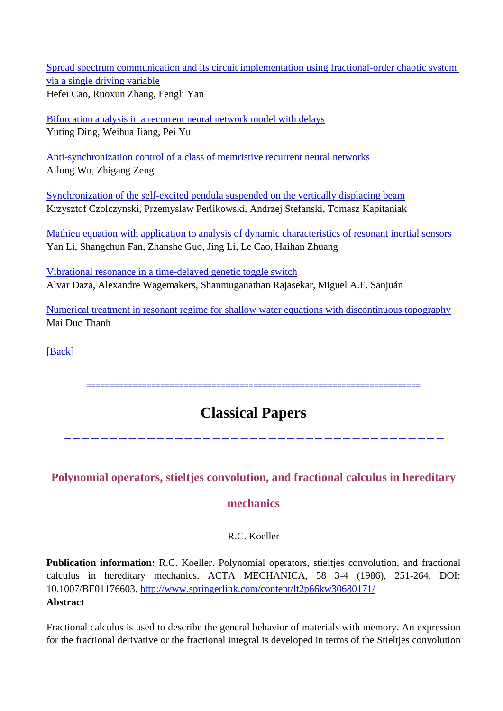Spread spectrum communication and its circuit implementation using fractional-order chaotic system via a single driving variable Hefei Cao, Ruoxun Zhang, Fengli Yan

Bifurcation analysis in a recurrent neural network model with delays Yuting Ding, Weihua Jiang, Pei Yu

Anti-synchronization control of a class of memristive recurrent neural networks Ailong Wu, Zhigang Zeng

Synchronization of the self-excited pendula suspended on the vertically displacing beam Krzysztof Czolczynski, Przemyslaw Perlikowski, Andrzej Stefanski, Tomasz Kapitaniak

Mathieu equation with application to analysis of dynamic characteristics of resonant inertial sensors Yan Li, Shangchun Fan, Zhanshe Guo, Jing Li, Le Cao, Haihan Zhuang

Vibrational resonance in a time-delayed genetic toggle switch Alvar Daza, Alexandre Wagemakers, Shanmuganathan Rajasekar, Miguel A.F. Sanjuán

Numerical treatment in resonant regime for shallow water equations with discontinuous topography Mai Duc Thanh

[Back]

========================================================================

## **Classical Papers**

-----------------------------------------

## **Polynomial operators, stieltjes convolution, and fractional calculus in hereditary**

## **mechanics**

R.C. Koeller

**Publication information:** R.C. Koeller. Polynomial operators, stieltjes convolution, and fractional calculus in hereditary mechanics. ACTA MECHANICA, 58 3-4 (1986), 251-264, DOI: 10.1007/BF01176603. http://www.springerlink.com/content/lt2p66kw30680171/ **Abstract**

Fractional calculus is used to describe the general behavior of materials with memory. An expression for the fractional derivative or the fractional integral is developed in terms of the Stieltjes convolution